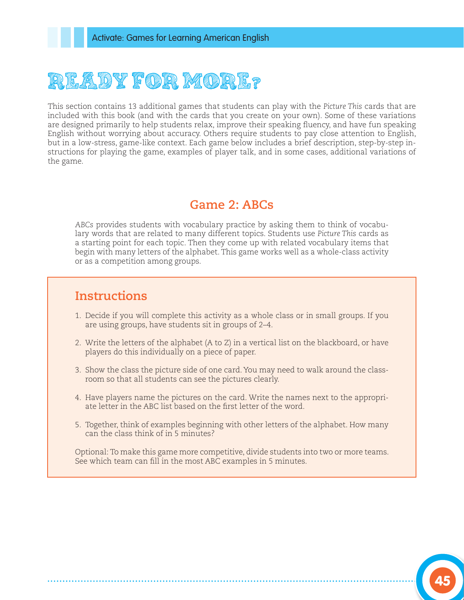## READY FOR MORE?

This section contains 13 additional games that students can play with the *Picture This* cards that are included with this book (and with the cards that you create on your own). Some of these variations are designed primarily to help students relax, improve their speaking fluency, and have fun speaking English without worrying about accuracy. Others require students to pay close attention to English, but in a low-stress, game-like context. Each game below includes a brief description, step-by-step instructions for playing the game, examples of player talk, and in some cases, additional variations of the game.

## **Game 2: ABCs**

*ABCs* provides students with vocabulary practice by asking them to think of vocabulary words that are related to many different topics. Students use *Picture This* cards as a starting point for each topic. Then they come up with related vocabulary items that begin with many letters of the alphabet. This game works well as a whole-class activity or as a competition among groups.

## **Instructions**

- 1. Decide if you will complete this activity as a whole class or in small groups. If you are using groups, have students sit in groups of 2–4.
- 2. Write the letters of the alphabet (A to Z) in a vertical list on the blackboard, or have players do this individually on a piece of paper.
- 3. Show the class the picture side of one card. You may need to walk around the classroom so that all students can see the pictures clearly.
- 4. Have players name the pictures on the card. Write the names next to the appropriate letter in the ABC list based on the first letter of the word.
- 5. Together, think of examples beginning with other letters of the alphabet. How many can the class think of in 5 minutes?

Optional: To make this game more competitive, divide students into two or more teams. See which team can fill in the most ABC examples in 5 minutes.